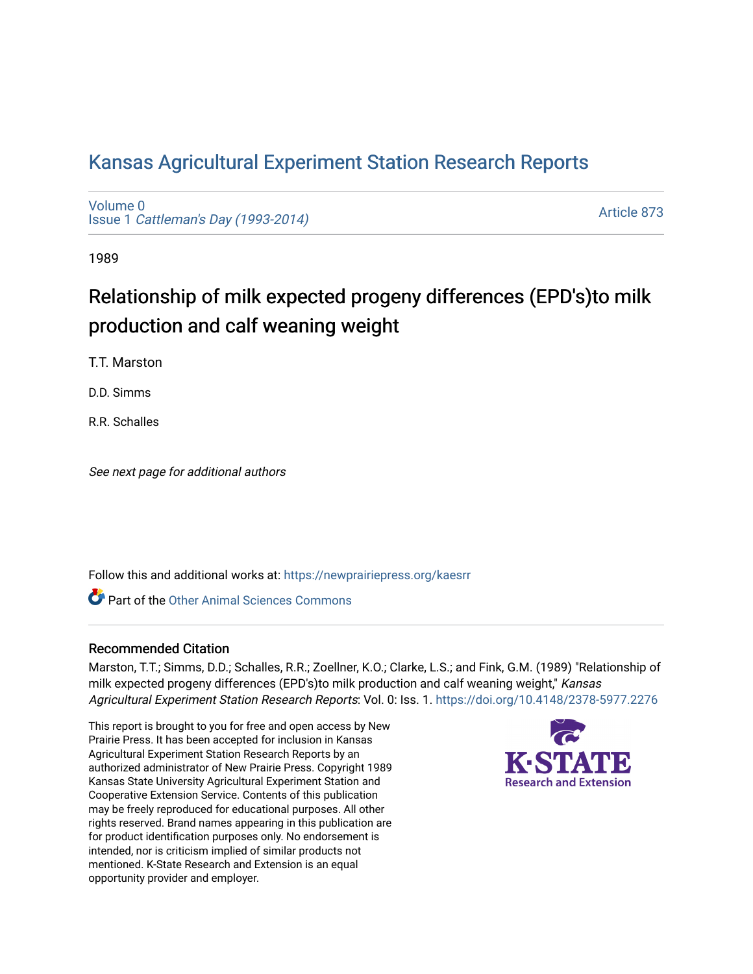# [Kansas Agricultural Experiment Station Research Reports](https://newprairiepress.org/kaesrr)

[Volume 0](https://newprairiepress.org/kaesrr/vol0) Issue 1 [Cattleman's Day \(1993-2014\)](https://newprairiepress.org/kaesrr/vol0/iss1) 

[Article 873](https://newprairiepress.org/kaesrr/vol0/iss1/873) 

1989

# Relationship of milk expected progeny differences (EPD's)to milk production and calf weaning weight

T.T. Marston

D.D. Simms

R.R. Schalles

See next page for additional authors

Follow this and additional works at: [https://newprairiepress.org/kaesrr](https://newprairiepress.org/kaesrr?utm_source=newprairiepress.org%2Fkaesrr%2Fvol0%2Fiss1%2F873&utm_medium=PDF&utm_campaign=PDFCoverPages) 

**C** Part of the [Other Animal Sciences Commons](http://network.bepress.com/hgg/discipline/82?utm_source=newprairiepress.org%2Fkaesrr%2Fvol0%2Fiss1%2F873&utm_medium=PDF&utm_campaign=PDFCoverPages)

## Recommended Citation

Marston, T.T.; Simms, D.D.; Schalles, R.R.; Zoellner, K.O.; Clarke, L.S.; and Fink, G.M. (1989) "Relationship of milk expected progeny differences (EPD's)to milk production and calf weaning weight," Kansas Agricultural Experiment Station Research Reports: Vol. 0: Iss. 1.<https://doi.org/10.4148/2378-5977.2276>

This report is brought to you for free and open access by New Prairie Press. It has been accepted for inclusion in Kansas Agricultural Experiment Station Research Reports by an authorized administrator of New Prairie Press. Copyright 1989 Kansas State University Agricultural Experiment Station and Cooperative Extension Service. Contents of this publication may be freely reproduced for educational purposes. All other rights reserved. Brand names appearing in this publication are for product identification purposes only. No endorsement is intended, nor is criticism implied of similar products not mentioned. K-State Research and Extension is an equal opportunity provider and employer.

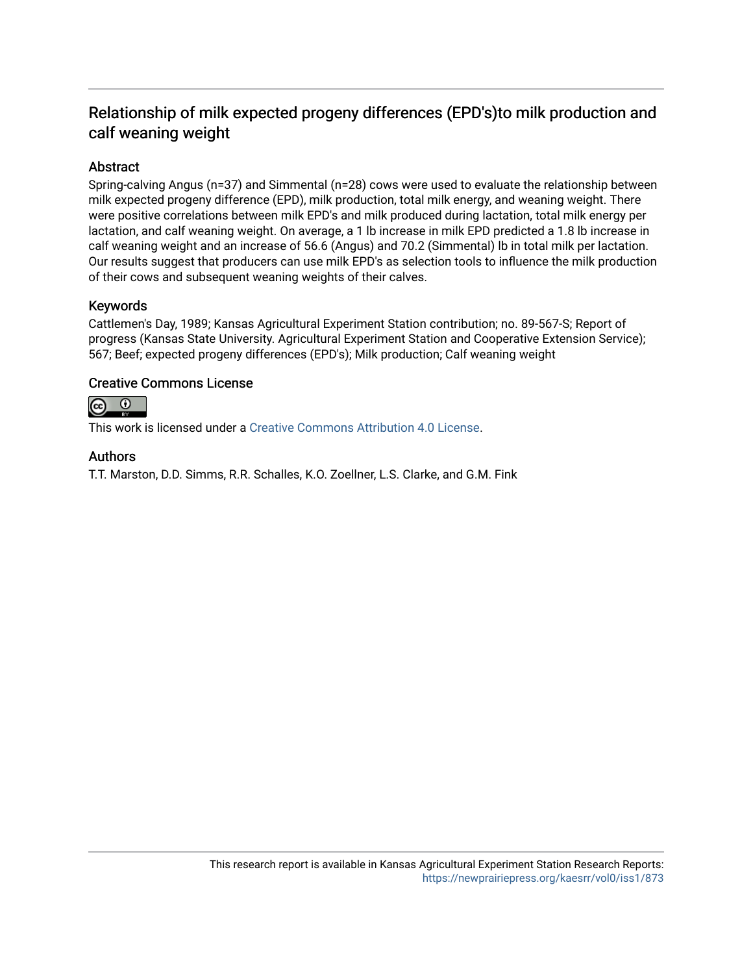# Relationship of milk expected progeny differences (EPD's)to milk production and calf weaning weight

## Abstract

Spring-calving Angus (n=37) and Simmental (n=28) cows were used to evaluate the relationship between milk expected progeny difference (EPD), milk production, total milk energy, and weaning weight. There were positive correlations between milk EPD's and milk produced during lactation, total milk energy per lactation, and calf weaning weight. On average, a 1 lb increase in milk EPD predicted a 1.8 lb increase in calf weaning weight and an increase of 56.6 (Angus) and 70.2 (Simmental) lb in total milk per lactation. Our results suggest that producers can use milk EPD's as selection tools to influence the milk production of their cows and subsequent weaning weights of their calves.

### Keywords

Cattlemen's Day, 1989; Kansas Agricultural Experiment Station contribution; no. 89-567-S; Report of progress (Kansas State University. Agricultural Experiment Station and Cooperative Extension Service); 567; Beef; expected progeny differences (EPD's); Milk production; Calf weaning weight

### Creative Commons License



This work is licensed under a [Creative Commons Attribution 4.0 License](https://creativecommons.org/licenses/by/4.0/).

### Authors

T.T. Marston, D.D. Simms, R.R. Schalles, K.O. Zoellner, L.S. Clarke, and G.M. Fink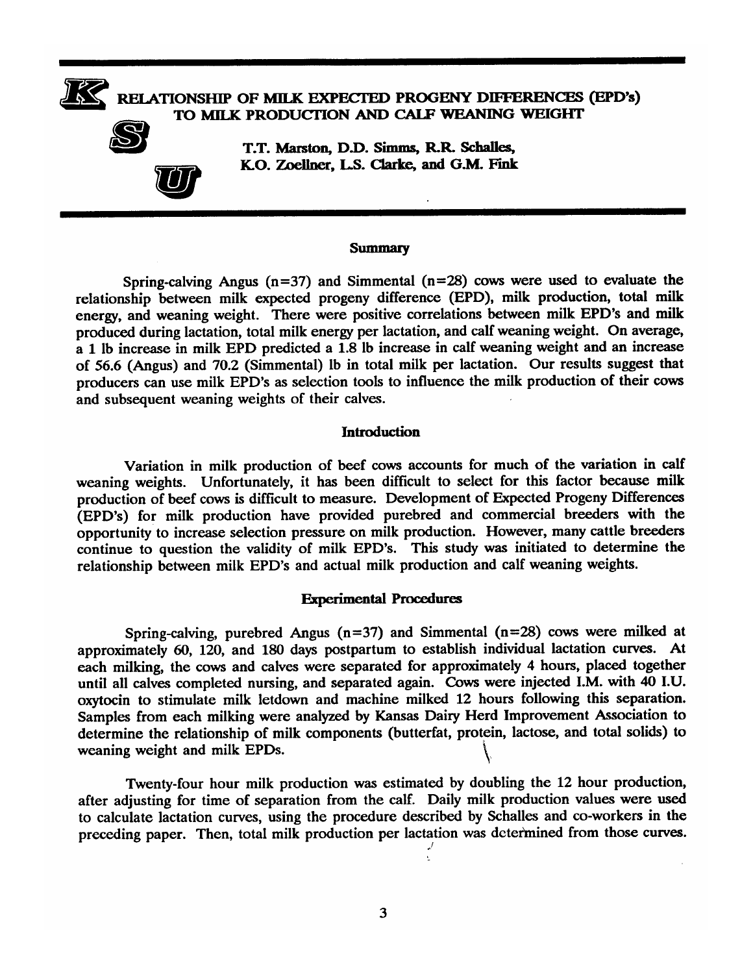

#### **Summary**

Spring-calving Angus ( $n=37$ ) and Simmental ( $n=28$ ) cows were used to evaluate the relationship between milk expected progeny difference (EPD), milk production, total milk energy, and weaning weight. There were positive correlations between milk EPD's and milk produced during lactation, total milk energy per lactation, and calf weaning weight. On average, a 1 lb increase in milk EPD predicted a 1.8 lb increase in calf weaning weight and an increase of 56.6 (Angus) and 70.2 (Simmental) lb in total milk per lactation. Our results suggest that producers can use milk EPD's as selection tools to influence the milk production of their cows and subsequent weaning weights of their calves.

#### **Introduction**

Variation in milk production of beef cows accounts for much of the variation in calf weaning weights. Unfortunately, it has been difficult to select for this factor because milk production of beef cows is difficult to measure. Development of Expected Progeny Differences (EPD's) for milk production have provided purebred and commercial breeders with the opportunity to increase selection pressure on milk production. However, many cattle breeders continue to question the validity of milk EPD's. This study was initiated to determine the relationship between milk EPD's and actual milk production and calf weaning weights.

#### **Experimental Procedures**

Spring-calving, purebred Angus ( $n=37$ ) and Simmental ( $n=28$ ) cows were milked at approximately 60, 120, and 180 days postpartum to establish individual lactation curves. At each milking, the cows and calves were separated for approximately 4 hours, placed together until all calves completed nursing, and separated again. Cows were injected I.M. with 40 I.U. oxytocin to stimulate milk letdown and machine milked 12 hours following this separation. Samples from each milking were analyzed by Kansas Dairy Herd Improvement Association to determine the relationship of milk components (butterfat, protein, lactose, and total solids) to weaning weight and milk EPDs.

Twenty-four hour milk production was estimated by doubling the 12 hour production, after adjusting for time of separation from the calf. Daily milk production values were used to calculate lactation curves, using the procedure described by Schalles and co-workers in the preceding paper. Then, total milk production per lactation was determined from those curves.

Ÿ.

3